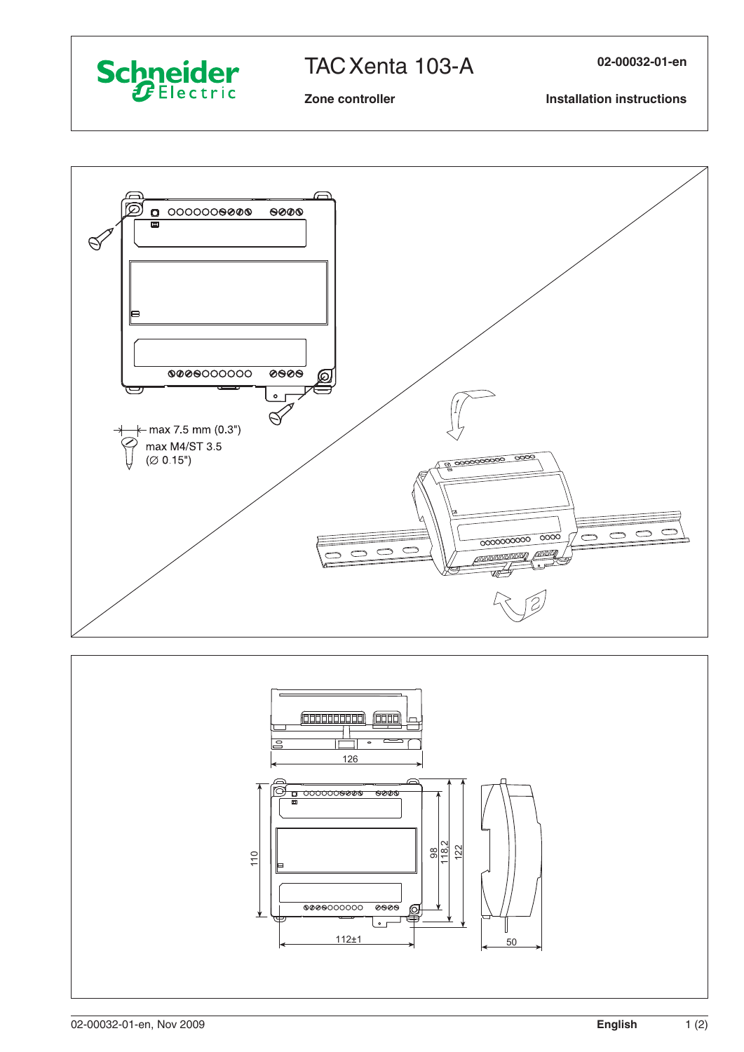

## TAC Xenta 103-A

02-00032-01-en

## Zone controller

**Installation instructions**